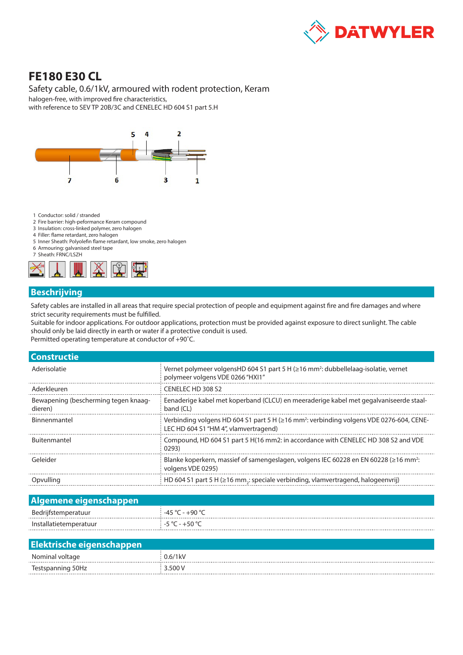

# **FE180 E30 CL**

#### Safety cable, 0.6/1kV, armoured with rodent protection, Keram

halogen-free, with improved fire characteristics, with reference to SEV TP 20B/3C and CENELEC HD 604 S1 part 5.H



- 1 Conductor: solid / stranded
- 2 Fire barrier: high-peformance Keram compound
- 3 Insulation: cross-linked polymer, zero halogen
- 4 Filler: flame retardant, zero halogen
- 5 Inner Sheath: Polyolefin flame retardant, low smoke, zero halogen 6 Armouring: galvanised steel tape
- 7 Sheath: FRNC/LSZH



#### **Beschrijving**

Safety cables are installed in all areas that require special protection of people and equipment against fire and fire damages and where strict security requirements must be fulfilled.

Suitable for indoor applications. For outdoor applications, protection must be provided against exposure to direct sunlight. The cable should only be laid directly in earth or water if a protective conduit is used.

Permitted operating temperature at conductor of +90˚C.

| <b>Constructie</b>                              |                                                                                                                                              |  |  |  |
|-------------------------------------------------|----------------------------------------------------------------------------------------------------------------------------------------------|--|--|--|
| Aderisolatie                                    | Vernet polymeer volgensHD 604 S1 part 5 H (≥16 mm <sup>2</sup> : dubbellelaag-isolatie, vernet<br>polymeer volgens VDE 0266 "HXI1"           |  |  |  |
| Aderkleuren                                     | CENELECTED 308 S2                                                                                                                            |  |  |  |
| Bewapening (bescherming tegen knaag-<br>dieren) | Eenaderige kabel met koperband (CLCU) en meeraderige kabel met gegalvaniseerde staal-<br>band (CL)                                           |  |  |  |
| Binnenmantel                                    | Verbinding volgens HD 604 S1 part 5 H (≥16 mm <sup>2</sup> : verbinding volgens VDE 0276-604, CENE-<br>LEC HD 604 S1 "HM 4", vlamvertragend) |  |  |  |
| <b>Buitenmantel</b>                             | Compound, HD 604 S1 part 5 H(16 mm2; in accordance with CENELEC HD 308 S2 and VDE<br>0293)                                                   |  |  |  |
| Geleider                                        | Blanke koperkern, massief of samengeslagen, volgens IEC 60228 en EN 60228 (≥16 mm <sup>2</sup> :<br>volgens VDE 0295)                        |  |  |  |
| Opvulling                                       | HD 604 S1 part 5 H (≥16 mm,: speciale verbinding, vlamvertragend, halogeenvrij)                                                              |  |  |  |
|                                                 |                                                                                                                                              |  |  |  |

## **Algemene eigenschappen**

| - |  |
|---|--|
|   |  |

#### **Elektrische eigenschappen**

|                                                                       | ۱K۷                 |
|-----------------------------------------------------------------------|---------------------|
| $  -$<br>$\sim$<br>.<br>.<br>the contract of the contract of the<br>. | <b>-00</b><br>----- |
|                                                                       |                     |